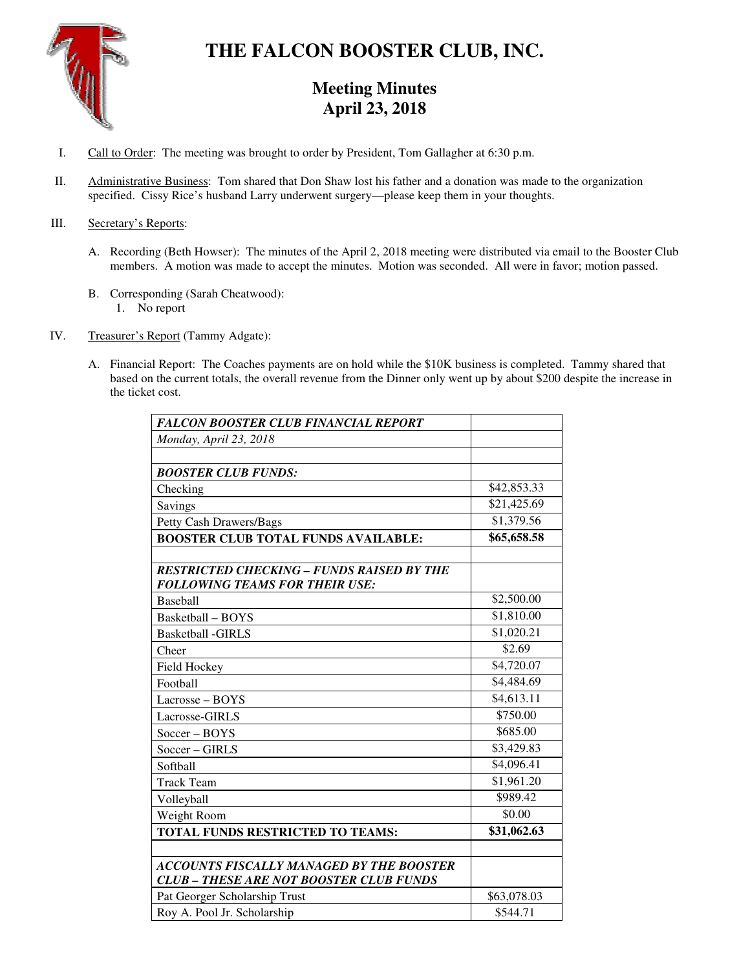

# **THE FALCON BOOSTER CLUB, INC.**

# **Meeting Minutes April 23, 2018**

- I. Call to Order: The meeting was brought to order by President, Tom Gallagher at 6:30 p.m.
- II. Administrative Business: Tom shared that Don Shaw lost his father and a donation was made to the organization specified. Cissy Rice's husband Larry underwent surgery—please keep them in your thoughts.

## III. Secretary's Reports:

- A. Recording (Beth Howser): The minutes of the April 2, 2018 meeting were distributed via email to the Booster Club members. A motion was made to accept the minutes. Motion was seconded. All were in favor; motion passed.
- B. Corresponding (Sarah Cheatwood):
	- 1. No report
- IV. Treasurer's Report (Tammy Adgate):
	- A. Financial Report: The Coaches payments are on hold while the \$10K business is completed. Tammy shared that based on the current totals, the overall revenue from the Dinner only went up by about \$200 despite the increase in the ticket cost.

| <b>FALCON BOOSTER CLUB FINANCIAL REPORT</b>                                                       |             |
|---------------------------------------------------------------------------------------------------|-------------|
| Monday, April 23, 2018                                                                            |             |
|                                                                                                   |             |
| <b>BOOSTER CLUB FUNDS:</b>                                                                        |             |
| Checking                                                                                          | \$42,853.33 |
| Savings                                                                                           | \$21,425.69 |
| Petty Cash Drawers/Bags                                                                           | \$1,379.56  |
| <b>BOOSTER CLUB TOTAL FUNDS AVAILABLE:</b>                                                        | \$65,658.58 |
| <b>RESTRICTED CHECKING - FUNDS RAISED BY THE</b><br><b>FOLLOWING TEAMS FOR THEIR USE:</b>         |             |
| <b>Baseball</b>                                                                                   | \$2,500.00  |
| Basketball – BOYS                                                                                 | \$1,810.00  |
| <b>Basketball -GIRLS</b>                                                                          | \$1,020.21  |
| Cheer                                                                                             | \$2.69      |
| Field Hockey                                                                                      | \$4,720.07  |
| Football                                                                                          | \$4,484.69  |
| $Lacrose - BOYS$                                                                                  | \$4,613.11  |
| Lacrosse-GIRLS                                                                                    | \$750.00    |
| $Soccer - BOYS$                                                                                   | \$685.00    |
| Soccer - GIRLS                                                                                    | \$3,429.83  |
| Softball                                                                                          | \$4,096.41  |
| <b>Track Team</b>                                                                                 | \$1,961.20  |
| Volleyball                                                                                        | \$989.42    |
| Weight Room                                                                                       | \$0.00      |
| TOTAL FUNDS RESTRICTED TO TEAMS:                                                                  | \$31,062.63 |
| <b>ACCOUNTS FISCALLY MANAGED BY THE BOOSTER</b><br><b>CLUB - THESE ARE NOT BOOSTER CLUB FUNDS</b> |             |
| Pat Georger Scholarship Trust                                                                     | \$63,078.03 |
| Roy A. Pool Jr. Scholarship                                                                       | \$544.71    |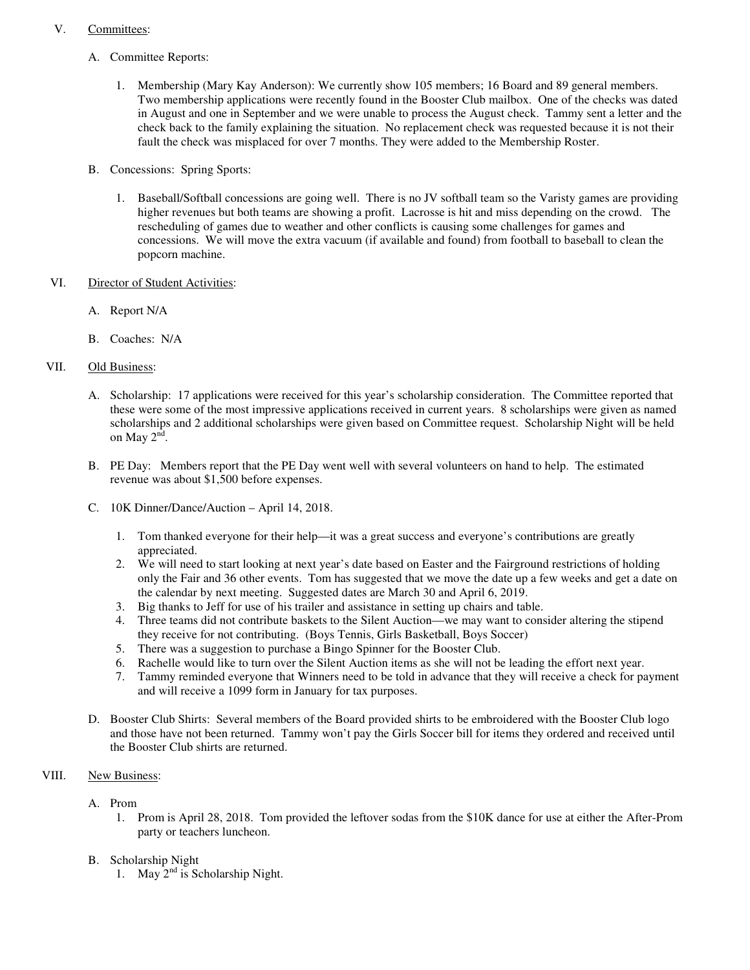## V. Committees:

- A. Committee Reports:
	- 1. Membership (Mary Kay Anderson): We currently show 105 members; 16 Board and 89 general members. Two membership applications were recently found in the Booster Club mailbox. One of the checks was dated in August and one in September and we were unable to process the August check. Tammy sent a letter and the check back to the family explaining the situation. No replacement check was requested because it is not their fault the check was misplaced for over 7 months. They were added to the Membership Roster.
- B. Concessions: Spring Sports:
	- 1. Baseball/Softball concessions are going well. There is no JV softball team so the Varisty games are providing higher revenues but both teams are showing a profit. Lacrosse is hit and miss depending on the crowd. The rescheduling of games due to weather and other conflicts is causing some challenges for games and concessions. We will move the extra vacuum (if available and found) from football to baseball to clean the popcorn machine.
- VI. Director of Student Activities:
	- A. Report N/A
	- B. Coaches: N/A

# VII. Old Business:

- A. Scholarship: 17 applications were received for this year's scholarship consideration. The Committee reported that these were some of the most impressive applications received in current years. 8 scholarships were given as named scholarships and 2 additional scholarships were given based on Committee request. Scholarship Night will be held on May  $2^{\tilde{nd}}$ .
- B. PE Day: Members report that the PE Day went well with several volunteers on hand to help. The estimated revenue was about \$1,500 before expenses.
- C. 10K Dinner/Dance/Auction April 14, 2018.
	- 1. Tom thanked everyone for their help—it was a great success and everyone's contributions are greatly appreciated.
	- 2. We will need to start looking at next year's date based on Easter and the Fairground restrictions of holding only the Fair and 36 other events. Tom has suggested that we move the date up a few weeks and get a date on the calendar by next meeting. Suggested dates are March 30 and April 6, 2019.
	- 3. Big thanks to Jeff for use of his trailer and assistance in setting up chairs and table.
	- 4. Three teams did not contribute baskets to the Silent Auction—we may want to consider altering the stipend they receive for not contributing. (Boys Tennis, Girls Basketball, Boys Soccer)
	- 5. There was a suggestion to purchase a Bingo Spinner for the Booster Club.
	- 6. Rachelle would like to turn over the Silent Auction items as she will not be leading the effort next year.
	- 7. Tammy reminded everyone that Winners need to be told in advance that they will receive a check for payment and will receive a 1099 form in January for tax purposes.
- D. Booster Club Shirts: Several members of the Board provided shirts to be embroidered with the Booster Club logo and those have not been returned. Tammy won't pay the Girls Soccer bill for items they ordered and received until the Booster Club shirts are returned.

# VIII. New Business:

- A. Prom
	- 1. Prom is April 28, 2018. Tom provided the leftover sodas from the \$10K dance for use at either the After-Prom party or teachers luncheon.
- B. Scholarship Night
	- 1. May  $2<sup>nd</sup>$  is Scholarship Night.